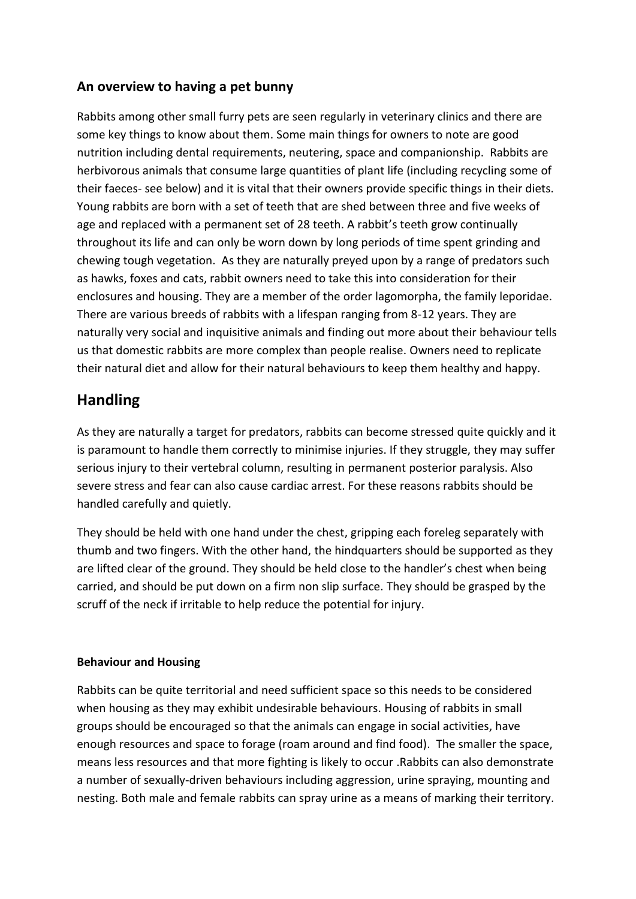## **An overview to having a pet bunny**

Rabbits among other small furry pets are seen regularly in veterinary clinics and there are some key things to know about them. Some main things for owners to note are good nutrition including dental requirements, neutering, space and companionship. Rabbits are herbivorous animals that consume large quantities of plant life (including recycling some of their faeces- see below) and it is vital that their owners provide specific things in their diets. Young rabbits are born with a set of teeth that are shed between three and five weeks of age and replaced with a permanent set of 28 teeth. A rabbit's teeth grow continually throughout its life and can only be worn down by long periods of time spent grinding and chewing tough vegetation. As they are naturally preyed upon by a range of predators such as hawks, foxes and cats, rabbit owners need to take this into consideration for their enclosures and housing. They are a member of the order lagomorpha, the family leporidae. There are various breeds of rabbits with a lifespan ranging from 8-12 years. They are naturally very social and inquisitive animals and finding out more about their behaviour tells us that domestic rabbits are more complex than people realise. Owners need to replicate their natural diet and allow for their natural behaviours to keep them healthy and happy.

# **Handling**

As they are naturally a target for predators, rabbits can become stressed quite quickly and it is paramount to handle them correctly to minimise injuries. If they struggle, they may suffer serious injury to their vertebral column, resulting in permanent posterior paralysis. Also severe stress and fear can also cause cardiac arrest. For these reasons rabbits should be handled carefully and quietly.

They should be held with one hand under the chest, gripping each foreleg separately with thumb and two fingers. With the other hand, the hindquarters should be supported as they are lifted clear of the ground. They should be held close to the handler's chest when being carried, and should be put down on a firm non slip surface. They should be grasped by the scruff of the neck if irritable to help reduce the potential for injury.

### **Behaviour and Housing**

Rabbits can be quite territorial and need sufficient space so this needs to be considered when housing as they may exhibit undesirable behaviours. Housing of rabbits in small groups should be encouraged so that the animals can engage in social activities, have enough resources and space to forage (roam around and find food). The smaller the space, means less resources and that more fighting is likely to occur .Rabbits can also demonstrate a number of sexually-driven behaviours including aggression, urine spraying, mounting and nesting. Both male and female rabbits can spray urine as a means of marking their territory.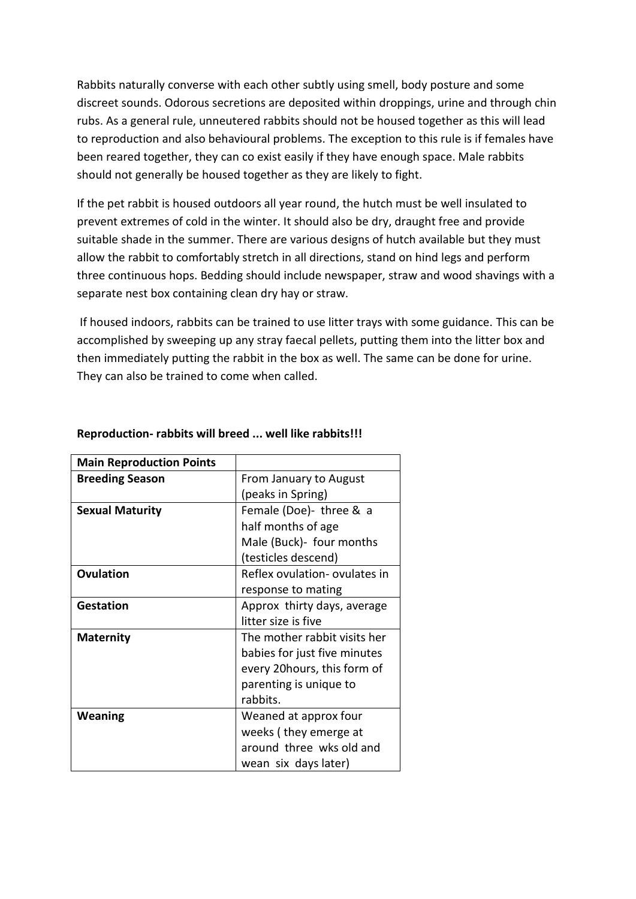Rabbits naturally converse with each other subtly using smell, body posture and some discreet sounds. Odorous secretions are deposited within droppings, urine and through chin rubs. As a general rule, unneutered rabbits should not be housed together as this will lead to reproduction and also behavioural problems. The exception to this rule is if females have been reared together, they can co exist easily if they have enough space. Male rabbits should not generally be housed together as they are likely to fight.

If the pet rabbit is housed outdoors all year round, the hutch must be well insulated to prevent extremes of cold in the winter. It should also be dry, draught free and provide suitable shade in the summer. There are various designs of hutch available but they must allow the rabbit to comfortably stretch in all directions, stand on hind legs and perform three continuous hops. Bedding should include newspaper, straw and wood shavings with a separate nest box containing clean dry hay or straw.

If housed indoors, rabbits can be trained to use litter trays with some guidance. This can be accomplished by sweeping up any stray faecal pellets, putting them into the litter box and then immediately putting the rabbit in the box as well. The same can be done for urine. They can also be trained to come when called.

| <b>Main Reproduction Points</b> |                               |
|---------------------------------|-------------------------------|
| <b>Breeding Season</b>          | From January to August        |
|                                 | (peaks in Spring)             |
| <b>Sexual Maturity</b>          | Female (Doe)- three & a       |
|                                 | half months of age            |
|                                 | Male (Buck)- four months      |
|                                 | (testicles descend)           |
| Ovulation                       | Reflex ovulation- ovulates in |
|                                 | response to mating            |
| <b>Gestation</b>                | Approx thirty days, average   |
|                                 | litter size is five           |
| <b>Maternity</b>                | The mother rabbit visits her  |
|                                 | babies for just five minutes  |
|                                 | every 20 hours, this form of  |
|                                 | parenting is unique to        |
|                                 | rabbits.                      |
| Weaning                         | Weaned at approx four         |
|                                 | weeks (they emerge at         |
|                                 | around three wks old and      |
|                                 | wean six days later)          |

#### **Reproduction- rabbits will breed ... well like rabbits!!!**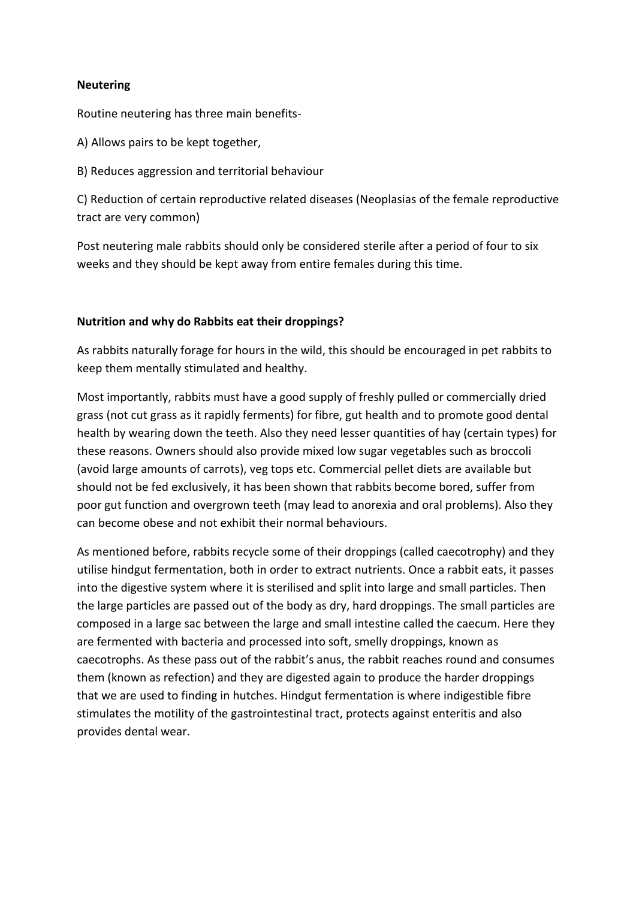#### **Neutering**

Routine neutering has three main benefits-

A) Allows pairs to be kept together,

B) Reduces aggression and territorial behaviour

C) Reduction of certain reproductive related diseases (Neoplasias of the female reproductive tract are very common)

Post neutering male rabbits should only be considered sterile after a period of four to six weeks and they should be kept away from entire females during this time.

#### **Nutrition and why do Rabbits eat their droppings?**

As rabbits naturally forage for hours in the wild, this should be encouraged in pet rabbits to keep them mentally stimulated and healthy.

Most importantly, rabbits must have a good supply of freshly pulled or commercially dried grass (not cut grass as it rapidly ferments) for fibre, gut health and to promote good dental health by wearing down the teeth. Also they need lesser quantities of hay (certain types) for these reasons. Owners should also provide mixed low sugar vegetables such as broccoli (avoid large amounts of carrots), veg tops etc. Commercial pellet diets are available but should not be fed exclusively, it has been shown that rabbits become bored, suffer from poor gut function and overgrown teeth (may lead to anorexia and oral problems). Also they can become obese and not exhibit their normal behaviours.

As mentioned before, rabbits recycle some of their droppings (called caecotrophy) and they utilise hindgut fermentation, both in order to extract nutrients. Once a rabbit eats, it passes into the digestive system where it is sterilised and split into large and small particles. Then the large particles are passed out of the body as dry, hard droppings. The small particles are composed in a large sac between the large and small intestine called the caecum. Here they are fermented with bacteria and processed into soft, smelly droppings, known as caecotrophs. As these pass out of the rabbit's anus, the rabbit reaches round and consumes them (known as refection) and they are digested again to produce the harder droppings that we are used to finding in hutches. Hindgut fermentation is where indigestible fibre stimulates the motility of the gastrointestinal tract, protects against enteritis and also provides dental wear.